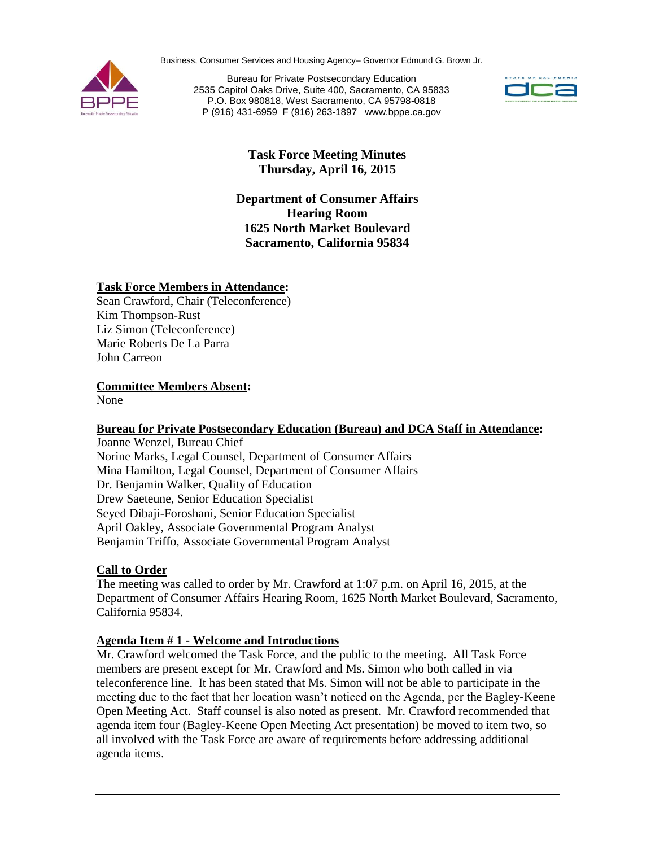Business, Consumer Services and Housing Agency– Governor Edmund G. Brown Jr.



Bureau for Private Postsecondary Education 2535 Capitol Oaks Drive, Suite 400, Sacramento, CA 95833 P.O. Box 980818, West Sacramento, CA 95798-0818 P (916) 431-6959 F (916) 263-1897 www.bppe.ca.gov



# **Task Force Meeting Minutes Thursday, April 16, 2015**

**Department of Consumer Affairs Hearing Room 1625 North Market Boulevard Sacramento, California 95834**

## **Task Force Members in Attendance:**

Sean Crawford, Chair (Teleconference) Kim Thompson-Rust Liz Simon (Teleconference) Marie Roberts De La Parra John Carreon

**Committee Members Absent:**

None

#### **Bureau for Private Postsecondary Education (Bureau) and DCA Staff in Attendance:**

Joanne Wenzel, Bureau Chief Norine Marks, Legal Counsel, Department of Consumer Affairs Mina Hamilton, Legal Counsel, Department of Consumer Affairs Dr. Benjamin Walker, Quality of Education Drew Saeteune, Senior Education Specialist Seyed Dibaji-Foroshani, Senior Education Specialist April Oakley, Associate Governmental Program Analyst Benjamin Triffo, Associate Governmental Program Analyst

## **Call to Order**

The meeting was called to order by Mr. Crawford at 1:07 p.m. on April 16, 2015, at the Department of Consumer Affairs Hearing Room, 1625 North Market Boulevard, Sacramento, California 95834.

## **Agenda Item # 1 - Welcome and Introductions**

Mr. Crawford welcomed the Task Force, and the public to the meeting. All Task Force members are present except for Mr. Crawford and Ms. Simon who both called in via teleconference line. It has been stated that Ms. Simon will not be able to participate in the meeting due to the fact that her location wasn't noticed on the Agenda, per the Bagley-Keene Open Meeting Act. Staff counsel is also noted as present. Mr. Crawford recommended that agenda item four (Bagley-Keene Open Meeting Act presentation) be moved to item two, so all involved with the Task Force are aware of requirements before addressing additional agenda items.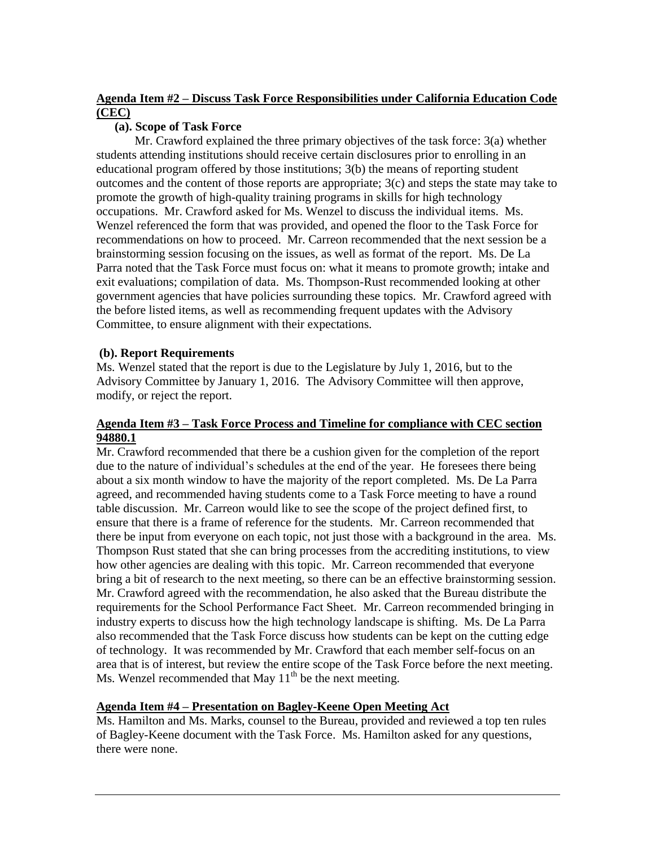## **Agenda Item #2 – Discuss Task Force Responsibilities under California Education Code (CEC)**

### **(a). Scope of Task Force**

Mr. Crawford explained the three primary objectives of the task force: 3(a) whether students attending institutions should receive certain disclosures prior to enrolling in an educational program offered by those institutions; 3(b) the means of reporting student outcomes and the content of those reports are appropriate; 3(c) and steps the state may take to promote the growth of high-quality training programs in skills for high technology occupations. Mr. Crawford asked for Ms. Wenzel to discuss the individual items. Ms. Wenzel referenced the form that was provided, and opened the floor to the Task Force for recommendations on how to proceed. Mr. Carreon recommended that the next session be a brainstorming session focusing on the issues, as well as format of the report. Ms. De La Parra noted that the Task Force must focus on: what it means to promote growth; intake and exit evaluations; compilation of data. Ms. Thompson-Rust recommended looking at other government agencies that have policies surrounding these topics. Mr. Crawford agreed with the before listed items, as well as recommending frequent updates with the Advisory Committee, to ensure alignment with their expectations.

## **(b). Report Requirements**

Ms. Wenzel stated that the report is due to the Legislature by July 1, 2016, but to the Advisory Committee by January 1, 2016. The Advisory Committee will then approve, modify, or reject the report.

#### **Agenda Item #3 – Task Force Process and Timeline for compliance with CEC section 94880.1**

Mr. Crawford recommended that there be a cushion given for the completion of the report due to the nature of individual's schedules at the end of the year. He foresees there being about a six month window to have the majority of the report completed. Ms. De La Parra agreed, and recommended having students come to a Task Force meeting to have a round table discussion. Mr. Carreon would like to see the scope of the project defined first, to ensure that there is a frame of reference for the students. Mr. Carreon recommended that there be input from everyone on each topic, not just those with a background in the area. Ms. Thompson Rust stated that she can bring processes from the accrediting institutions, to view how other agencies are dealing with this topic. Mr. Carreon recommended that everyone bring a bit of research to the next meeting, so there can be an effective brainstorming session. Mr. Crawford agreed with the recommendation, he also asked that the Bureau distribute the requirements for the School Performance Fact Sheet. Mr. Carreon recommended bringing in industry experts to discuss how the high technology landscape is shifting. Ms. De La Parra also recommended that the Task Force discuss how students can be kept on the cutting edge of technology. It was recommended by Mr. Crawford that each member self-focus on an area that is of interest, but review the entire scope of the Task Force before the next meeting. Ms. Wenzel recommended that May  $11<sup>th</sup>$  be the next meeting.

## **Agenda Item #4 – Presentation on Bagley-Keene Open Meeting Act**

Ms. Hamilton and Ms. Marks, counsel to the Bureau, provided and reviewed a top ten rules of Bagley-Keene document with the Task Force. Ms. Hamilton asked for any questions, there were none.